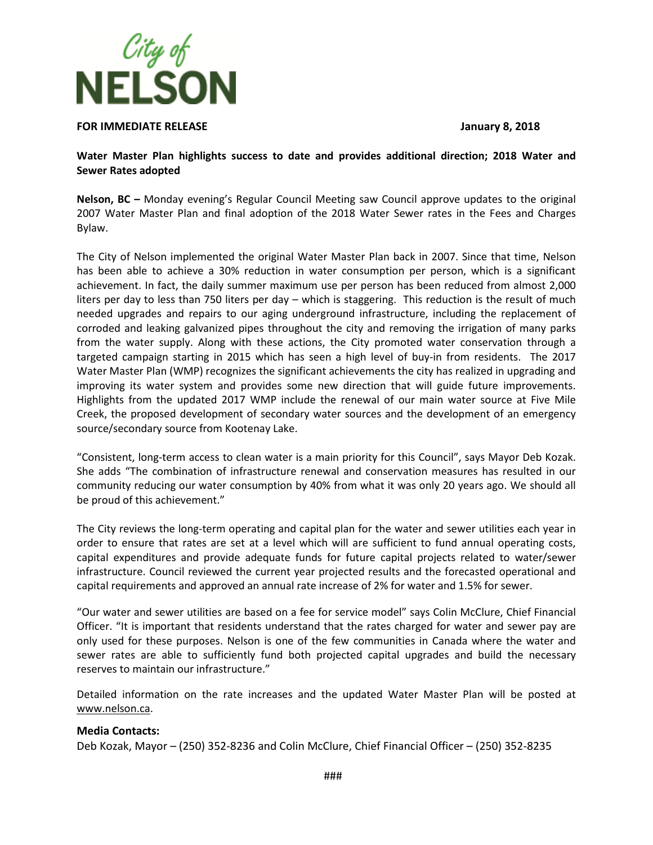

## **FOR IMMEDIATE RELEASE January 8, 2018**

**Water Master Plan highlights success to date and provides additional direction; 2018 Water and Sewer Rates adopted** 

**Nelson, BC –** Monday evening's Regular Council Meeting saw Council approve updates to the original 2007 Water Master Plan and final adoption of the 2018 Water Sewer rates in the Fees and Charges Bylaw.

The City of Nelson implemented the original Water Master Plan back in 2007. Since that time, Nelson has been able to achieve a 30% reduction in water consumption per person, which is a significant achievement. In fact, the daily summer maximum use per person has been reduced from almost 2,000 liters per day to less than 750 liters per day – which is staggering. This reduction is the result of much needed upgrades and repairs to our aging underground infrastructure, including the replacement of corroded and leaking galvanized pipes throughout the city and removing the irrigation of many parks from the water supply. Along with these actions, the City promoted water conservation through a targeted campaign starting in 2015 which has seen a high level of buy-in from residents. The 2017 Water Master Plan (WMP) recognizes the significant achievements the city has realized in upgrading and improving its water system and provides some new direction that will guide future improvements. Highlights from the updated 2017 WMP include the renewal of our main water source at Five Mile Creek, the proposed development of secondary water sources and the development of an emergency source/secondary source from Kootenay Lake.

"Consistent, long-term access to clean water is a main priority for this Council", says Mayor Deb Kozak. She adds "The combination of infrastructure renewal and conservation measures has resulted in our community reducing our water consumption by 40% from what it was only 20 years ago. We should all be proud of this achievement."

The City reviews the long-term operating and capital plan for the water and sewer utilities each year in order to ensure that rates are set at a level which will are sufficient to fund annual operating costs, capital expenditures and provide adequate funds for future capital projects related to water/sewer infrastructure. Council reviewed the current year projected results and the forecasted operational and capital requirements and approved an annual rate increase of 2% for water and 1.5% for sewer.

"Our water and sewer utilities are based on a fee for service model" says Colin McClure, Chief Financial Officer. "It is important that residents understand that the rates charged for water and sewer pay are only used for these purposes. Nelson is one of the few communities in Canada where the water and sewer rates are able to sufficiently fund both projected capital upgrades and build the necessary reserves to maintain our infrastructure."

Detailed information on the rate increases and the updated Water Master Plan will be posted at [www.nelson.ca.](http://www.nelson.ca/)

## **Media Contacts:**

Deb Kozak, Mayor – (250) 352-8236 and Colin McClure, Chief Financial Officer – (250) 352-8235